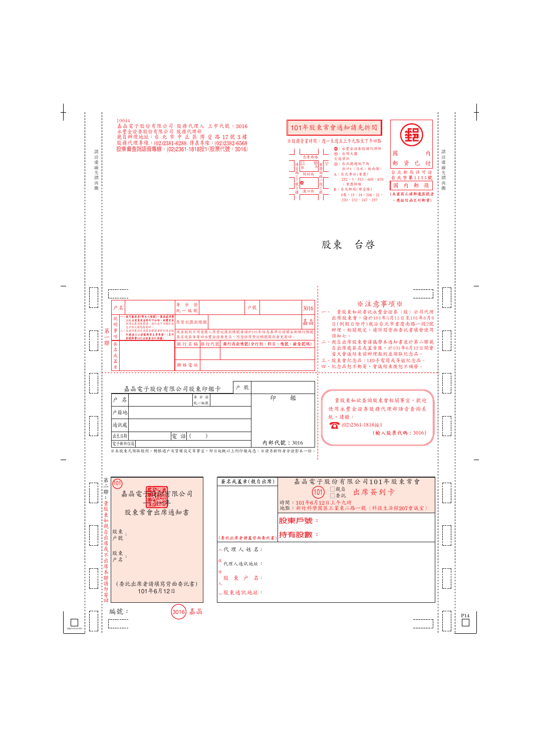